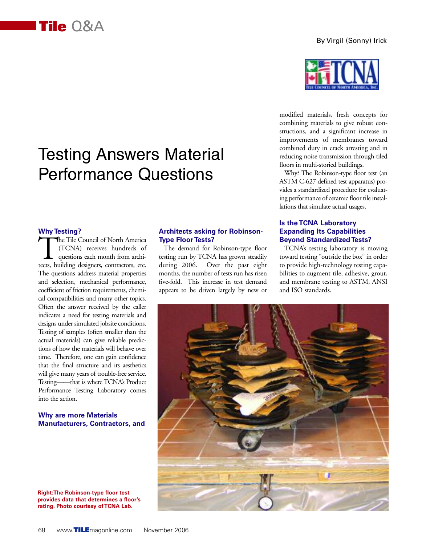# Testing Answers Material Performance Questions

### **Why Testing?**

The Tile Council of North America (TCNA) receives hundreds of questions each month from architects, building designers, contractors, etc. The questions address material properties and selection, mechanical performance, coefficient of friction requirements, chemical compatibilities and many other topics. Often the answer received by the caller indicates a need for testing materials and designs under simulated jobsite conditions. Testing of samples (often smaller than the actual materials) can give reliable predictions of how the materials will behave over time. Therefore, one can gain confidence that the final structure and its aesthetics will give many years of trouble-free service. Testing——that is where TCNA's Product Performance Testing Laboratory comes into the action.

### **Why are more Materials Manufacturers, Contractors, and**

**Right:The Robinson-type floor test provides data that determines a floor's rating. Photo courtesy of TCNA Lab.**

### **Architects asking for Robinson-Type Floor Tests?**

The demand for Robinson-type floor testing run by TCNA has grown steadily during 2006. Over the past eight months, the number of tests run has risen five-fold. This increase in test demand appears to be driven largely by new or



modified materials, fresh concepts for combining materials to give robust constructions, and a significant increase in improvements of membranes toward combined duty in crack arresting and in reducing noise transmission through tiled floors in multi-storied buildings.

Why? The Robinson-type floor test (an ASTM C-627 defined test apparatus) provides a standardized procedure for evaluating performance of ceramic floor tile installations that simulate actual usages.

### **Is the TCNA Laboratory Expanding Its Capabilities Beyond Standardized Tests?**

TCNA's testing laboratory is moving toward testing "outside the box" in order to provide high-technology testing capabilities to augment tile, adhesive, grout, and membrane testing to ASTM, ANSI and ISO standards.

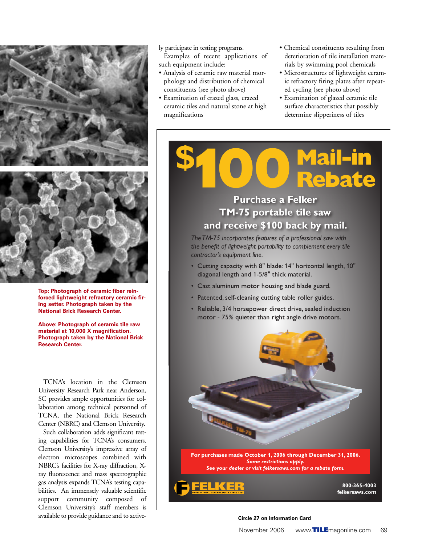

**Top: Photograph of ceramic fiber reinforced lightweight refractory ceramic firing setter. Photograph taken by the National Brick Research Center.**

**Above: Photograph of ceramic tile raw material at 10,000 X magnification. Photograph taken by the National Brick Research Center.**

TCNA's location in the Clemson University Research Park near Anderson, SC provides ample opportunities for collaboration among technical personnel of TCNA, the National Brick Research Center (NBRC) and Clemson University.

Such collaboration adds significant testing capabilities for TCNA's consumers. Clemson University's impressive array of electron microscopes combined with NBRC's facilities for X-ray diffraction, Xray fluorescence and mass spectrographic gas analysis expands TCNA's testing capabilities. An immensely valuable scientific support community composed of Clemson University's staff members is available to provide guidance and to active-

### ly participate in testing programs.

Examples of recent applications of such equipment include:

- Analysis of ceramic raw material morphology and distribution of chemical constituents (see photo above)
- Examination of crazed glass, crazed ceramic tiles and natural stone at high magnifications
- Chemical constituents resulting from deterioration of tile installation materials by swimming pool chemicals
- Microstructures of lightweight ceramic refractory firing plates after repeated cycling (see photo above)
- Examination of glazed ceramic tile surface characteristics that possibly determine slipperiness of tiles



### **Purchase a Felker HA** 75 portable tile saw **zand receive \$100 back by mail.**

*Hhe TM-75 incorporates features of a professional saw with he benefit of lightweight portability to complement every tile contractor's* equipment line.

- Cutting capacity with 8" blade: 14" horizontal length, 10" diagonal length and 1-5/8" thick material.
- Cast aluminum motor housing and blade guard.
- Patented, self-cleaning cutting table roller guides.
- Reliable, 3/4 horsepower direct drive, sealed induction motor - 75% quieter than right angle drive motors.



#### **Circle 27 on Information Card**